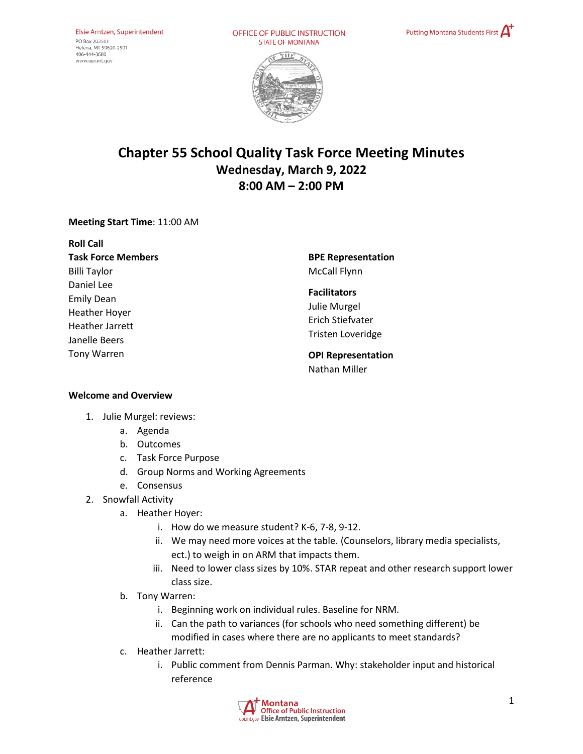OFFICE OF PUBLIC INSTRUCTION **STATE OF MONTANA** 





# **Chapter 55 School Quality Task Force Meeting Minutes Wednesday, March 9, 2022 8:00 AM – 2:00 PM**

## **Meeting Start Time**: 11:00 AM

| <b>Roll Call</b>          |
|---------------------------|
| <b>Task Force Members</b> |
| <b>Billi Taylor</b>       |
| Daniel Lee                |
| <b>Emily Dean</b>         |
| <b>Heather Hoyer</b>      |
| <b>Heather Jarrett</b>    |
| Janelle Beers             |
| <b>Tony Warren</b>        |
|                           |

**BPE Representation**  McCall Flynn

#### **Facilitators**

Julie Murgel Erich Stiefvater Tristen Loveridge

## **OPI Representation**  Nathan Miller

### **Welcome and Overview**

- 1. Julie Murgel: reviews:
	- a. Agenda
	- b. Outcomes
	- c. Task Force Purpose
	- d. Group Norms and Working Agreements
	- e. Consensus
- 2. Snowfall Activity
	- a. Heather Hoyer:
		- i. How do we measure student? K-6, 7-8, 9-12.
		- ii. We may need more voices at the table. (Counselors, library media specialists, ect.) to weigh in on ARM that impacts them.
		- iii. Need to lower class sizes by 10%. STAR repeat and other research support lower class size.
	- b. Tony Warren:
		- i. Beginning work on individual rules. Baseline for NRM.
		- ii. Can the path to variances (for schools who need something different) be modified in cases where there are no applicants to meet standards?
	- c. Heather Jarrett:
		- i. Public comment from Dennis Parman. Why: stakeholder input and historical reference

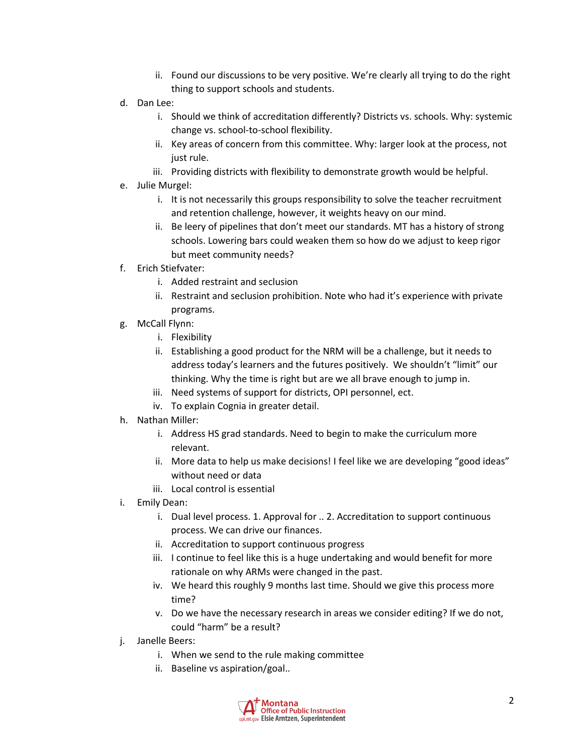- ii. Found our discussions to be very positive. We're clearly all trying to do the right thing to support schools and students.
- d. Dan Lee:
	- i. Should we think of accreditation differently? Districts vs. schools. Why: systemic change vs. school-to-school flexibility.
	- ii. Key areas of concern from this committee. Why: larger look at the process, not just rule.
	- iii. Providing districts with flexibility to demonstrate growth would be helpful.
- e. Julie Murgel:
	- i. It is not necessarily this groups responsibility to solve the teacher recruitment and retention challenge, however, it weights heavy on our mind.
	- ii. Be leery of pipelines that don't meet our standards. MT has a history of strong schools. Lowering bars could weaken them so how do we adjust to keep rigor but meet community needs?
- f. Erich Stiefvater:
	- i. Added restraint and seclusion
	- ii. Restraint and seclusion prohibition. Note who had it's experience with private programs.
- g. McCall Flynn:
	- i. Flexibility
	- ii. Establishing a good product for the NRM will be a challenge, but it needs to address today's learners and the futures positively. We shouldn't "limit" our thinking. Why the time is right but are we all brave enough to jump in.
	- iii. Need systems of support for districts, OPI personnel, ect.
	- iv. To explain Cognia in greater detail.
- h. Nathan Miller:
	- i. Address HS grad standards. Need to begin to make the curriculum more relevant.
	- ii. More data to help us make decisions! I feel like we are developing "good ideas" without need or data
	- iii. Local control is essential
- i. Emily Dean:
	- i. Dual level process. 1. Approval for .. 2. Accreditation to support continuous process. We can drive our finances.
	- ii. Accreditation to support continuous progress
	- iii. I continue to feel like this is a huge undertaking and would benefit for more rationale on why ARMs were changed in the past.
	- iv. We heard this roughly 9 months last time. Should we give this process more time?
	- v. Do we have the necessary research in areas we consider editing? If we do not, could "harm" be a result?
- j. Janelle Beers:
	- i. When we send to the rule making committee
	- ii. Baseline vs aspiration/goal..

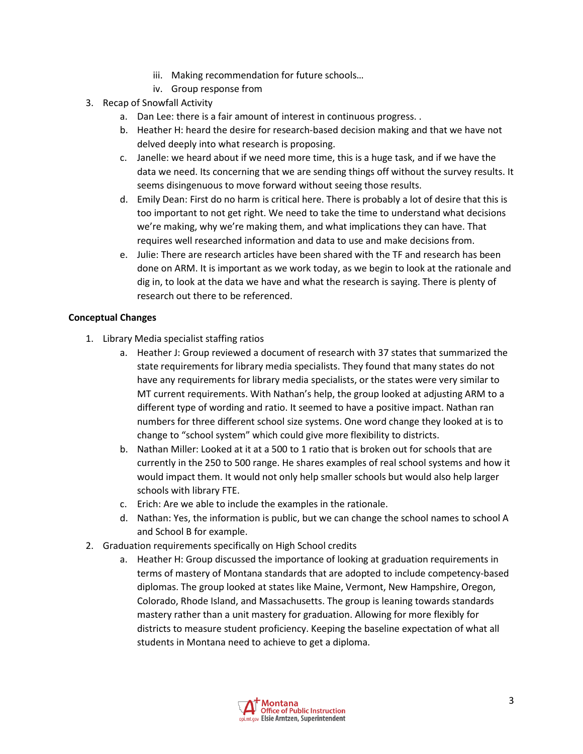- iii. Making recommendation for future schools…
- iv. Group response from
- 3. Recap of Snowfall Activity
	- a. Dan Lee: there is a fair amount of interest in continuous progress. .
	- b. Heather H: heard the desire for research-based decision making and that we have not delved deeply into what research is proposing.
	- c. Janelle: we heard about if we need more time, this is a huge task, and if we have the data we need. Its concerning that we are sending things off without the survey results. It seems disingenuous to move forward without seeing those results.
	- d. Emily Dean: First do no harm is critical here. There is probably a lot of desire that this is too important to not get right. We need to take the time to understand what decisions we're making, why we're making them, and what implications they can have. That requires well researched information and data to use and make decisions from.
	- e. Julie: There are research articles have been shared with the TF and research has been done on ARM. It is important as we work today, as we begin to look at the rationale and dig in, to look at the data we have and what the research is saying. There is plenty of research out there to be referenced.

## **Conceptual Changes**

- 1. Library Media specialist staffing ratios
	- a. Heather J: Group reviewed a document of research with 37 states that summarized the state requirements for library media specialists. They found that many states do not have any requirements for library media specialists, or the states were very similar to MT current requirements. With Nathan's help, the group looked at adjusting ARM to a different type of wording and ratio. It seemed to have a positive impact. Nathan ran numbers for three different school size systems. One word change they looked at is to change to "school system" which could give more flexibility to districts.
	- b. Nathan Miller: Looked at it at a 500 to 1 ratio that is broken out for schools that are currently in the 250 to 500 range. He shares examples of real school systems and how it would impact them. It would not only help smaller schools but would also help larger schools with library FTE.
	- c. Erich: Are we able to include the examples in the rationale.
	- d. Nathan: Yes, the information is public, but we can change the school names to school A and School B for example.
- 2. Graduation requirements specifically on High School credits
	- a. Heather H: Group discussed the importance of looking at graduation requirements in terms of mastery of Montana standards that are adopted to include competency-based diplomas. The group looked at states like Maine, Vermont, New Hampshire, Oregon, Colorado, Rhode Island, and Massachusetts. The group is leaning towards standards mastery rather than a unit mastery for graduation. Allowing for more flexibly for districts to measure student proficiency. Keeping the baseline expectation of what all students in Montana need to achieve to get a diploma.

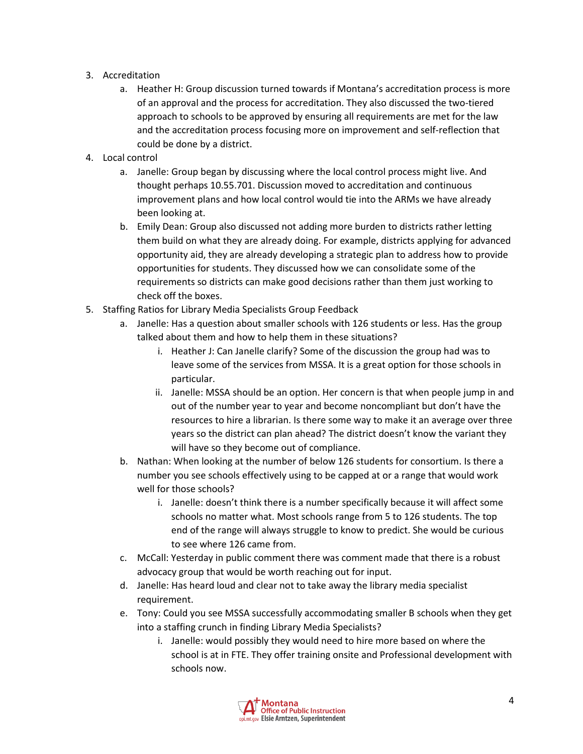- 3. Accreditation
	- a. Heather H: Group discussion turned towards if Montana's accreditation process is more of an approval and the process for accreditation. They also discussed the two-tiered approach to schools to be approved by ensuring all requirements are met for the law and the accreditation process focusing more on improvement and self-reflection that could be done by a district.
- 4. Local control
	- a. Janelle: Group began by discussing where the local control process might live. And thought perhaps 10.55.701. Discussion moved to accreditation and continuous improvement plans and how local control would tie into the ARMs we have already been looking at.
	- b. Emily Dean: Group also discussed not adding more burden to districts rather letting them build on what they are already doing. For example, districts applying for advanced opportunity aid, they are already developing a strategic plan to address how to provide opportunities for students. They discussed how we can consolidate some of the requirements so districts can make good decisions rather than them just working to check off the boxes.
- 5. Staffing Ratios for Library Media Specialists Group Feedback
	- a. Janelle: Has a question about smaller schools with 126 students or less. Has the group talked about them and how to help them in these situations?
		- i. Heather J: Can Janelle clarify? Some of the discussion the group had was to leave some of the services from MSSA. It is a great option for those schools in particular.
		- ii. Janelle: MSSA should be an option. Her concern is that when people jump in and out of the number year to year and become noncompliant but don't have the resources to hire a librarian. Is there some way to make it an average over three years so the district can plan ahead? The district doesn't know the variant they will have so they become out of compliance.
	- b. Nathan: When looking at the number of below 126 students for consortium. Is there a number you see schools effectively using to be capped at or a range that would work well for those schools?
		- i. Janelle: doesn't think there is a number specifically because it will affect some schools no matter what. Most schools range from 5 to 126 students. The top end of the range will always struggle to know to predict. She would be curious to see where 126 came from.
	- c. McCall: Yesterday in public comment there was comment made that there is a robust advocacy group that would be worth reaching out for input.
	- d. Janelle: Has heard loud and clear not to take away the library media specialist requirement.
	- e. Tony: Could you see MSSA successfully accommodating smaller B schools when they get into a staffing crunch in finding Library Media Specialists?
		- i. Janelle: would possibly they would need to hire more based on where the school is at in FTE. They offer training onsite and Professional development with schools now.

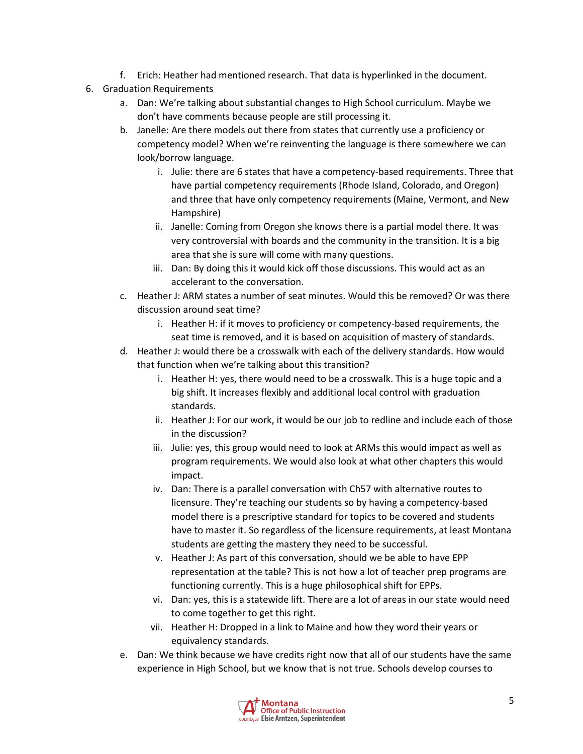- f. Erich: Heather had mentioned research. That data is hyperlinked in the document.
- 6. Graduation Requirements
	- a. Dan: We're talking about substantial changes to High School curriculum. Maybe we don't have comments because people are still processing it.
	- b. Janelle: Are there models out there from states that currently use a proficiency or competency model? When we're reinventing the language is there somewhere we can look/borrow language.
		- i. Julie: there are 6 states that have a competency-based requirements. Three that have partial competency requirements (Rhode Island, Colorado, and Oregon) and three that have only competency requirements (Maine, Vermont, and New Hampshire)
		- ii. Janelle: Coming from Oregon she knows there is a partial model there. It was very controversial with boards and the community in the transition. It is a big area that she is sure will come with many questions.
		- iii. Dan: By doing this it would kick off those discussions. This would act as an accelerant to the conversation.
	- c. Heather J: ARM states a number of seat minutes. Would this be removed? Or was there discussion around seat time?
		- i. Heather H: if it moves to proficiency or competency-based requirements, the seat time is removed, and it is based on acquisition of mastery of standards.
	- d. Heather J: would there be a crosswalk with each of the delivery standards. How would that function when we're talking about this transition?
		- i. Heather H: yes, there would need to be a crosswalk. This is a huge topic and a big shift. It increases flexibly and additional local control with graduation standards.
		- ii. Heather J: For our work, it would be our job to redline and include each of those in the discussion?
		- iii. Julie: yes, this group would need to look at ARMs this would impact as well as program requirements. We would also look at what other chapters this would impact.
		- iv. Dan: There is a parallel conversation with Ch57 with alternative routes to licensure. They're teaching our students so by having a competency-based model there is a prescriptive standard for topics to be covered and students have to master it. So regardless of the licensure requirements, at least Montana students are getting the mastery they need to be successful.
		- v. Heather J: As part of this conversation, should we be able to have EPP representation at the table? This is not how a lot of teacher prep programs are functioning currently. This is a huge philosophical shift for EPPs.
		- vi. Dan: yes, this is a statewide lift. There are a lot of areas in our state would need to come together to get this right.
		- vii. Heather H: Dropped in a link to Maine and how they word their years or equivalency standards.
	- e. Dan: We think because we have credits right now that all of our students have the same experience in High School, but we know that is not true. Schools develop courses to

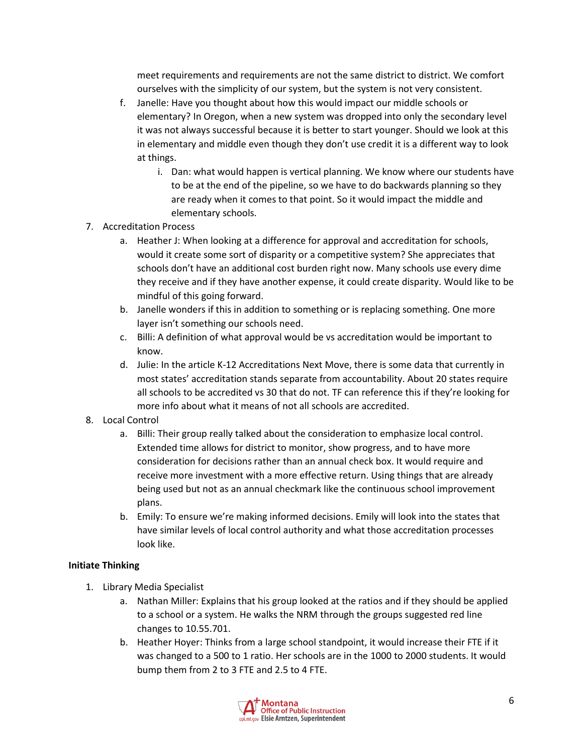meet requirements and requirements are not the same district to district. We comfort ourselves with the simplicity of our system, but the system is not very consistent.

- f. Janelle: Have you thought about how this would impact our middle schools or elementary? In Oregon, when a new system was dropped into only the secondary level it was not always successful because it is better to start younger. Should we look at this in elementary and middle even though they don't use credit it is a different way to look at things.
	- i. Dan: what would happen is vertical planning. We know where our students have to be at the end of the pipeline, so we have to do backwards planning so they are ready when it comes to that point. So it would impact the middle and elementary schools.
- 7. Accreditation Process
	- a. Heather J: When looking at a difference for approval and accreditation for schools, would it create some sort of disparity or a competitive system? She appreciates that schools don't have an additional cost burden right now. Many schools use every dime they receive and if they have another expense, it could create disparity. Would like to be mindful of this going forward.
	- b. Janelle wonders if this in addition to something or is replacing something. One more layer isn't something our schools need.
	- c. Billi: A definition of what approval would be vs accreditation would be important to know.
	- d. Julie: In the article K-12 Accreditations Next Move, there is some data that currently in most states' accreditation stands separate from accountability. About 20 states require all schools to be accredited vs 30 that do not. TF can reference this if they're looking for more info about what it means of not all schools are accredited.
- 8. Local Control
	- a. Billi: Their group really talked about the consideration to emphasize local control. Extended time allows for district to monitor, show progress, and to have more consideration for decisions rather than an annual check box. It would require and receive more investment with a more effective return. Using things that are already being used but not as an annual checkmark like the continuous school improvement plans.
	- b. Emily: To ensure we're making informed decisions. Emily will look into the states that have similar levels of local control authority and what those accreditation processes look like.

## **Initiate Thinking**

- 1. Library Media Specialist
	- a. Nathan Miller: Explains that his group looked at the ratios and if they should be applied to a school or a system. He walks the NRM through the groups suggested red line changes to 10.55.701.
	- b. Heather Hoyer: Thinks from a large school standpoint, it would increase their FTE if it was changed to a 500 to 1 ratio. Her schools are in the 1000 to 2000 students. It would bump them from 2 to 3 FTE and 2.5 to 4 FTE.

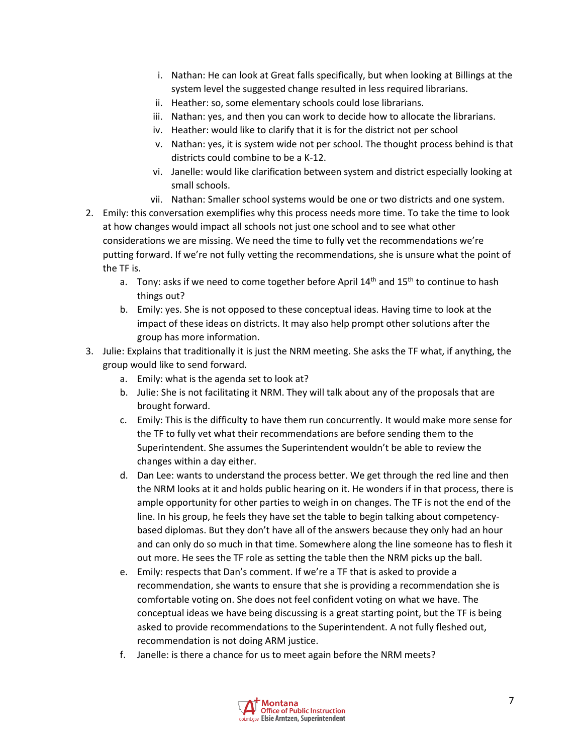- i. Nathan: He can look at Great falls specifically, but when looking at Billings at the system level the suggested change resulted in less required librarians.
- ii. Heather: so, some elementary schools could lose librarians.
- iii. Nathan: yes, and then you can work to decide how to allocate the librarians.
- iv. Heather: would like to clarify that it is for the district not per school
- v. Nathan: yes, it is system wide not per school. The thought process behind is that districts could combine to be a K-12.
- vi. Janelle: would like clarification between system and district especially looking at small schools.
- vii. Nathan: Smaller school systems would be one or two districts and one system.
- 2. Emily: this conversation exemplifies why this process needs more time. To take the time to look at how changes would impact all schools not just one school and to see what other considerations we are missing. We need the time to fully vet the recommendations we're putting forward. If we're not fully vetting the recommendations, she is unsure what the point of the TF is.
	- a. Tony: asks if we need to come together before April  $14<sup>th</sup>$  and  $15<sup>th</sup>$  to continue to hash things out?
	- b. Emily: yes. She is not opposed to these conceptual ideas. Having time to look at the impact of these ideas on districts. It may also help prompt other solutions after the group has more information.
- 3. Julie: Explains that traditionally it is just the NRM meeting. She asks the TF what, if anything, the group would like to send forward.
	- a. Emily: what is the agenda set to look at?
	- b. Julie: She is not facilitating it NRM. They will talk about any of the proposals that are brought forward.
	- c. Emily: This is the difficulty to have them run concurrently. It would make more sense for the TF to fully vet what their recommendations are before sending them to the Superintendent. She assumes the Superintendent wouldn't be able to review the changes within a day either.
	- d. Dan Lee: wants to understand the process better. We get through the red line and then the NRM looks at it and holds public hearing on it. He wonders if in that process, there is ample opportunity for other parties to weigh in on changes. The TF is not the end of the line. In his group, he feels they have set the table to begin talking about competencybased diplomas. But they don't have all of the answers because they only had an hour and can only do so much in that time. Somewhere along the line someone has to flesh it out more. He sees the TF role as setting the table then the NRM picks up the ball.
	- e. Emily: respects that Dan's comment. If we're a TF that is asked to provide a recommendation, she wants to ensure that she is providing a recommendation she is comfortable voting on. She does not feel confident voting on what we have. The conceptual ideas we have being discussing is a great starting point, but the TF is being asked to provide recommendations to the Superintendent. A not fully fleshed out, recommendation is not doing ARM justice.
	- f. Janelle: is there a chance for us to meet again before the NRM meets?

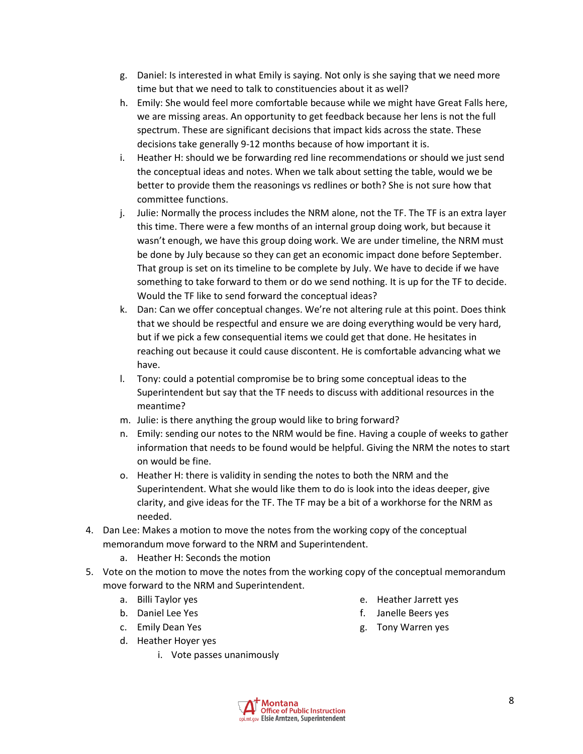- g. Daniel: Is interested in what Emily is saying. Not only is she saying that we need more time but that we need to talk to constituencies about it as well?
- h. Emily: She would feel more comfortable because while we might have Great Falls here, we are missing areas. An opportunity to get feedback because her lens is not the full spectrum. These are significant decisions that impact kids across the state. These decisions take generally 9-12 months because of how important it is.
- i. Heather H: should we be forwarding red line recommendations or should we just send the conceptual ideas and notes. When we talk about setting the table, would we be better to provide them the reasonings vs redlines or both? She is not sure how that committee functions.
- j. Julie: Normally the process includes the NRM alone, not the TF. The TF is an extra layer this time. There were a few months of an internal group doing work, but because it wasn't enough, we have this group doing work. We are under timeline, the NRM must be done by July because so they can get an economic impact done before September. That group is set on its timeline to be complete by July. We have to decide if we have something to take forward to them or do we send nothing. It is up for the TF to decide. Would the TF like to send forward the conceptual ideas?
- k. Dan: Can we offer conceptual changes. We're not altering rule at this point. Does think that we should be respectful and ensure we are doing everything would be very hard, but if we pick a few consequential items we could get that done. He hesitates in reaching out because it could cause discontent. He is comfortable advancing what we have.
- l. Tony: could a potential compromise be to bring some conceptual ideas to the Superintendent but say that the TF needs to discuss with additional resources in the meantime?
- m. Julie: is there anything the group would like to bring forward?
- n. Emily: sending our notes to the NRM would be fine. Having a couple of weeks to gather information that needs to be found would be helpful. Giving the NRM the notes to start on would be fine.
- o. Heather H: there is validity in sending the notes to both the NRM and the Superintendent. What she would like them to do is look into the ideas deeper, give clarity, and give ideas for the TF. The TF may be a bit of a workhorse for the NRM as needed.
- 4. Dan Lee: Makes a motion to move the notes from the working copy of the conceptual memorandum move forward to the NRM and Superintendent.
	- a. Heather H: Seconds the motion
- 5. Vote on the motion to move the notes from the working copy of the conceptual memorandum move forward to the NRM and Superintendent.
	- a. Billi Taylor yes
	- b. Daniel Lee Yes
	- c. Emily Dean Yes
	- d. Heather Hoyer yes
		- i. Vote passes unanimously
- e. Heather Jarrett yes
- f. Janelle Beers yes
- g. Tony Warren yes